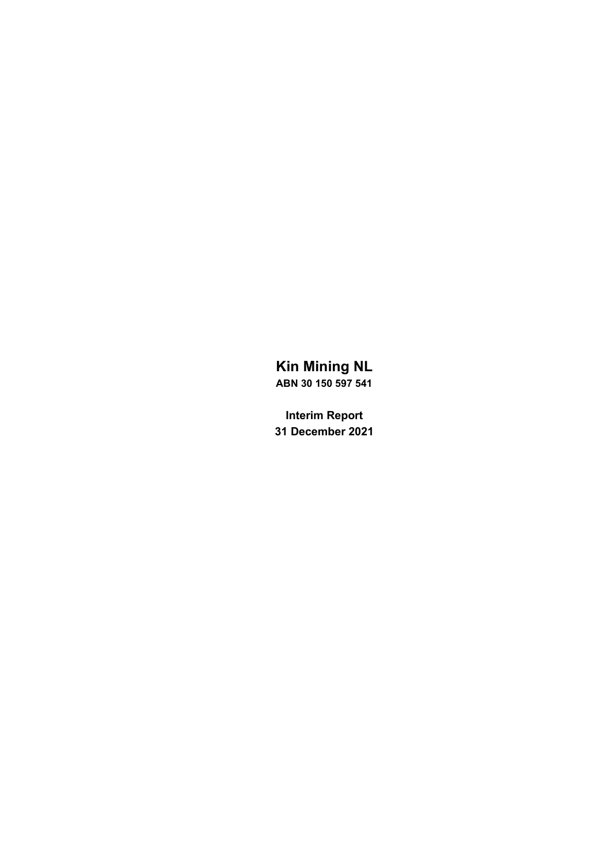# **Kin Mining NL ABN 30 150 597 541**

**Interim Report 31 December 2021**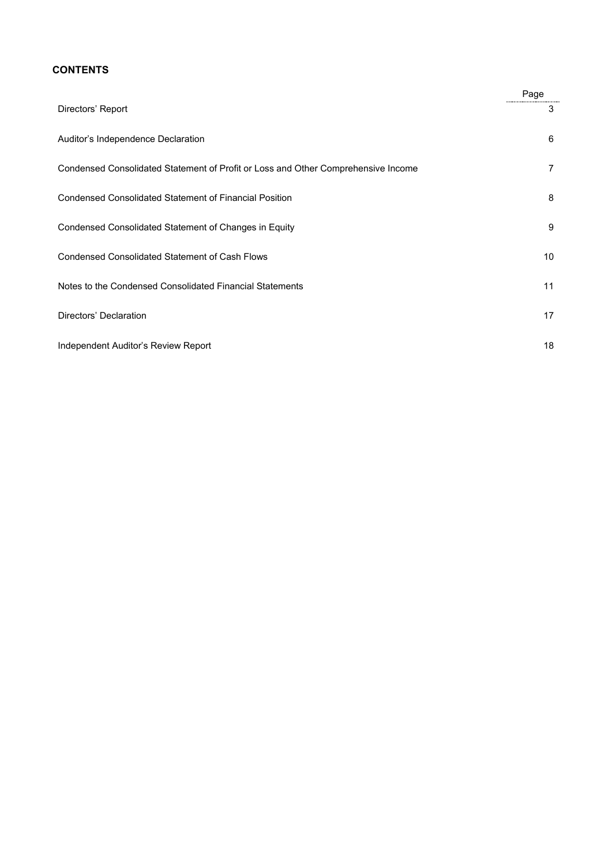## **CONTENTS**

|                                                                                   | Page |
|-----------------------------------------------------------------------------------|------|
| Directors' Report                                                                 | 3    |
| Auditor's Independence Declaration                                                | 6    |
| Condensed Consolidated Statement of Profit or Loss and Other Comprehensive Income | 7    |
| <b>Condensed Consolidated Statement of Financial Position</b>                     | 8    |
| Condensed Consolidated Statement of Changes in Equity                             | 9    |
| <b>Condensed Consolidated Statement of Cash Flows</b>                             | 10   |
| Notes to the Condensed Consolidated Financial Statements                          | 11   |
| Directors' Declaration                                                            | 17   |
| Independent Auditor's Review Report                                               | 18   |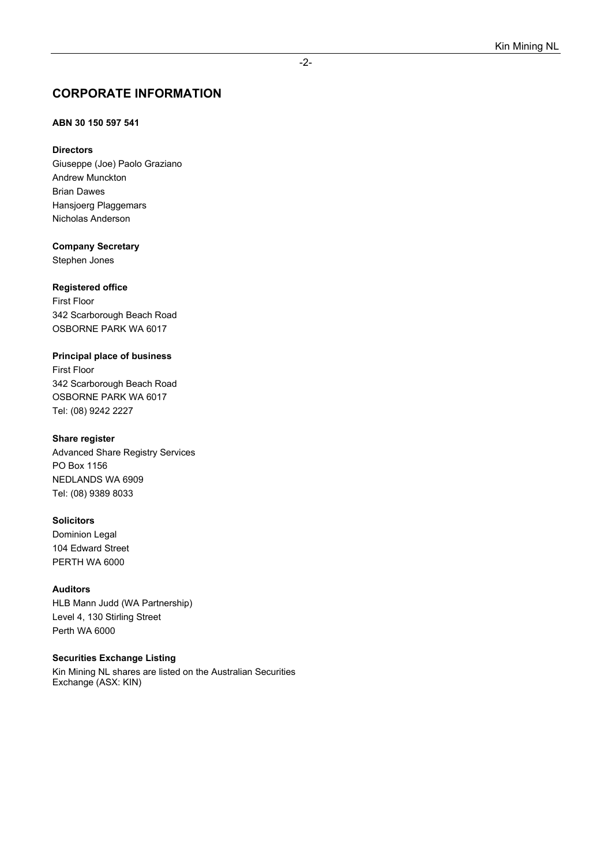## **CORPORATE INFORMATION**

## **ABN 30 150 597 541**

### **Directors**

Giuseppe (Joe) Paolo Graziano Andrew Munckton Brian Dawes Hansjoerg Plaggemars Nicholas Anderson

**Company Secretary** 

Stephen Jones

## **Registered office**

First Floor 342 Scarborough Beach Road OSBORNE PARK WA 6017

### **Principal place of business**

First Floor 342 Scarborough Beach Road OSBORNE PARK WA 6017 Tel: (08) 9242 2227

### **Share register**

Advanced Share Registry Services PO Box 1156 NEDLANDS WA 6909 Tel: (08) 9389 8033

### **Solicitors**

Dominion Legal 104 Edward Street PERTH WA 6000

### **Auditors**

HLB Mann Judd (WA Partnership) Level 4, 130 Stirling Street Perth WA 6000

### **Securities Exchange Listing**

Kin Mining NL shares are listed on the Australian Securities Exchange (ASX: KIN)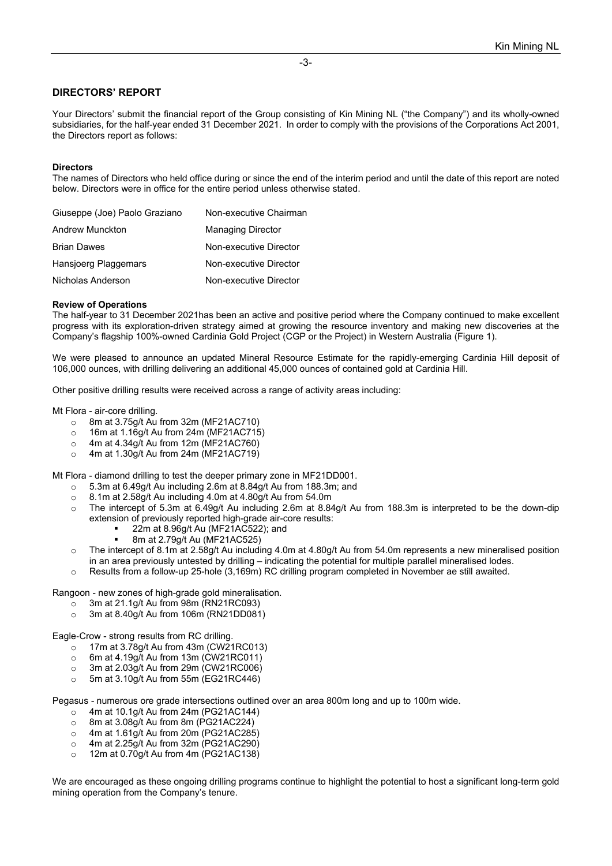### **DIRECTORS' REPORT**

Your Directors' submit the financial report of the Group consisting of Kin Mining NL ("the Company") and its wholly-owned subsidiaries, for the half-year ended 31 December 2021. In order to comply with the provisions of the Corporations Act 2001, the Directors report as follows:

#### **Directors**

The names of Directors who held office during or since the end of the interim period and until the date of this report are noted below. Directors were in office for the entire period unless otherwise stated.

| Giuseppe (Joe) Paolo Graziano | Non-executive Chairman   |
|-------------------------------|--------------------------|
| Andrew Munckton               | <b>Managing Director</b> |
| <b>Brian Dawes</b>            | Non-executive Director   |
| Hansjoerg Plaggemars          | Non-executive Director   |
| Nicholas Anderson             | Non-executive Director   |

#### **Review of Operations**

The half-year to 31 December 2021has been an active and positive period where the Company continued to make excellent progress with its exploration-driven strategy aimed at growing the resource inventory and making new discoveries at the Company's flagship 100%-owned Cardinia Gold Project (CGP or the Project) in Western Australia (Figure 1).

We were pleased to announce an updated Mineral Resource Estimate for the rapidly-emerging Cardinia Hill deposit of 106,000 ounces, with drilling delivering an additional 45,000 ounces of contained gold at Cardinia Hill.

Other positive drilling results were received across a range of activity areas including:

Mt Flora - air-core drilling.

- $\circ$  8m at 3.75g/t Au from 32m (MF21AC710)<br> $\circ$  16m at 1.16g/t Au from 24m (MF21AC715
- $\circ$  16m at 1.16g/t Au from 24m (MF21AC715)<br> $\circ$  4m at 4.34g/t Au from 12m (MF21AC760)
- $\circ$  4m at 4.34g/t Au from 12m (MF21AC760)<br> $\circ$  4m at 1.30g/t Au from 24m (MF21AC719)
- o 4m at 1.30g/t Au from 24m (MF21AC719)

Mt Flora - diamond drilling to test the deeper primary zone in MF21DD001.

- $\circ$  5.3m at 6.49g/t Au including 2.6m at 8.84g/t Au from 188.3m; and  $\circ$  8.1m at 2.58g/t Au including 4.0m at 4.80g/t Au from 54.0m
- o 8.1m at 2.58g/t Au including 4.0m at 4.80g/t Au from 54.0m
- o The intercept of 5.3m at 6.49g/t Au including 2.6m at 8.84g/t Au from 188.3m is interpreted to be the down-dip extension of previously reported high-grade air-core results:
	- 22m at 8.96g/t Au (MF21AC522); and
	- 8m at 2.79g/t Au (MF21AC525)
- $\circ$  The intercept of 8.1m at 2.58g/t Au including 4.0m at 4.80g/t Au from 54.0m represents a new mineralised position in an area previously untested by drilling – indicating the potential for multiple parallel mineralised lodes.
- o Results from a follow-up 25-hole (3,169m) RC drilling program completed in November ae still awaited.

Rangoon - new zones of high-grade gold mineralisation.

- o 3m at 21.1g/t Au from 98m (RN21RC093)
- 3m at 8.40g/t Au from 106m (RN21DD081)

Eagle-Crow - strong results from RC drilling.<br>17m at 3.78q/t Au from 43m (CW21

- 
- $\circ$  17m at 3.78g/t Au from 43m (CW21RC013)<br> $\circ$  6m at 4.19g/t Au from 13m (CW21RC011)
- $\circ$  6m at 4.19g/t Au from 13m (CW21RC011)<br> $\circ$  3m at 2.03g/t Au from 29m (CW21RC006) 3m at 2.03g/t Au from 29m (CW21RC006)
- o 5m at 3.10g/t Au from 55m (EG21RC446)

Pegasus - numerous ore grade intersections outlined over an area 800m long and up to 100m wide.

- o 4m at 10.1g/t Au from 24m (PG21AC144)
- o 8m at 3.08g/t Au from 8m (PG21AC224)
- o 4m at 1.61g/t Au from 20m (PG21AC285)
- o 4m at 2.25g/t Au from 32m (PG21AC290)
- o 12m at 0.70g/t Au from 4m (PG21AC138)

We are encouraged as these ongoing drilling programs continue to highlight the potential to host a significant long-term gold mining operation from the Company's tenure.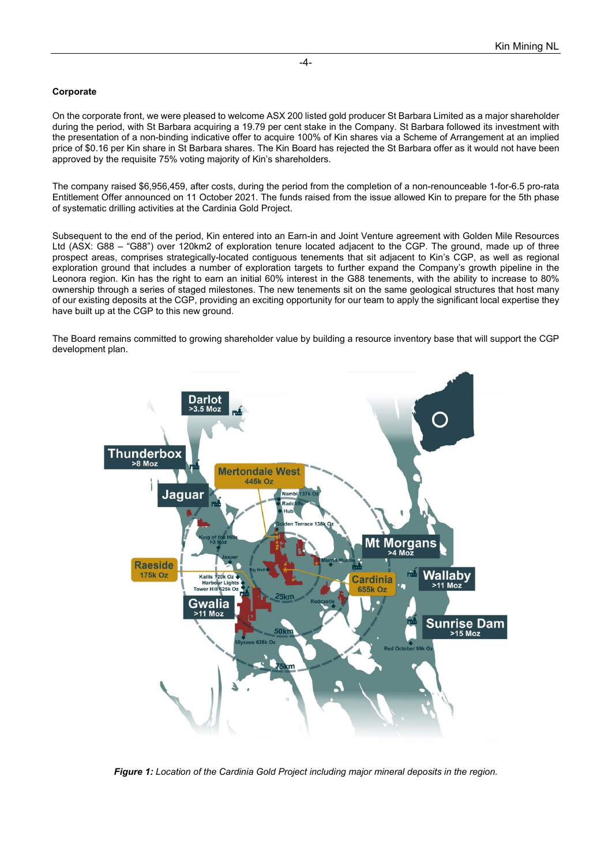#### **Corporate**

On the corporate front, we were pleased to welcome ASX 200 listed gold producer St Barbara Limited as a major shareholder during the period, with St Barbara acquiring a 19.79 per cent stake in the Company. St Barbara followed its investment with the presentation of a non-binding indicative offer to acquire 100% of Kin shares via a Scheme of Arrangement at an implied price of \$0.16 per Kin share in St Barbara shares. The Kin Board has rejected the St Barbara offer as it would not have been approved by the requisite 75% voting majority of Kin's shareholders.

The company raised \$6,956,459, after costs, during the period from the completion of a non-renounceable 1-for-6.5 pro-rata Entitlement Offer announced on 11 October 2021. The funds raised from the issue allowed Kin to prepare for the 5th phase of systematic drilling activities at the Cardinia Gold Project.

Subsequent to the end of the period, Kin entered into an Earn-in and Joint Venture agreement with Golden Mile Resources Ltd (ASX: G88 – "G88") over 120km2 of exploration tenure located adjacent to the CGP. The ground, made up of three prospect areas, comprises strategically-located contiguous tenements that sit adjacent to Kin's CGP, as well as regional exploration ground that includes a number of exploration targets to further expand the Company's growth pipeline in the Leonora region. Kin has the right to earn an initial 60% interest in the G88 tenements, with the ability to increase to 80% ownership through a series of staged milestones. The new tenements sit on the same geological structures that host many of our existing deposits at the CGP, providing an exciting opportunity for our team to apply the significant local expertise they have built up at the CGP to this new ground.

The Board remains committed to growing shareholder value by building a resource inventory base that will support the CGP development plan.



*Figure 1: Location of the Cardinia Gold Project including major mineral deposits in the region.*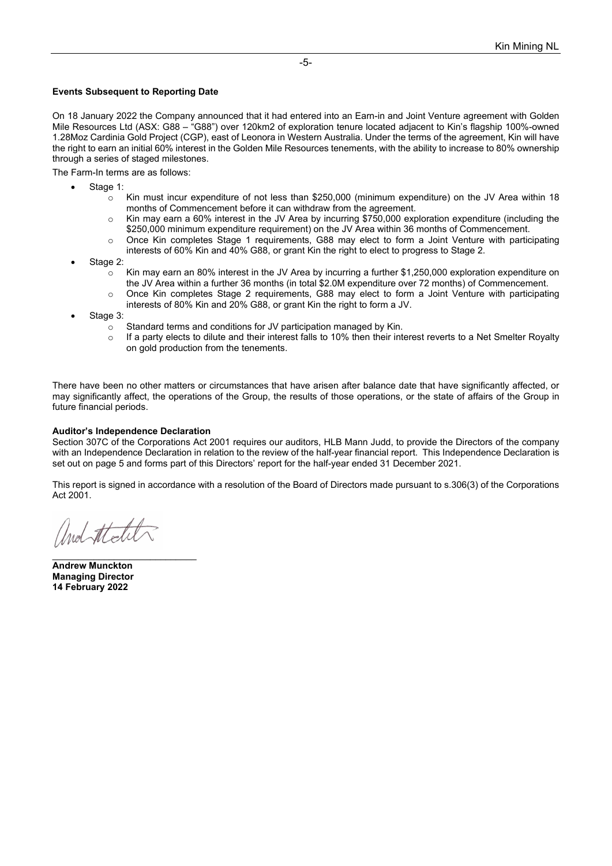#### **Events Subsequent to Reporting Date**

On 18 January 2022 the Company announced that it had entered into an Earn-in and Joint Venture agreement with Golden Mile Resources Ltd (ASX: G88 – "G88") over 120km2 of exploration tenure located adjacent to Kin's flagship 100%-owned 1.28Moz Cardinia Gold Project (CGP), east of Leonora in Western Australia. Under the terms of the agreement, Kin will have the right to earn an initial 60% interest in the Golden Mile Resources tenements, with the ability to increase to 80% ownership through a series of staged milestones.

The Farm-In terms are as follows:

- Stage 1:
	- $\sim$  Kin must incur expenditure of not less than \$250,000 (minimum expenditure) on the JV Area within 18 months of Commencement before it can withdraw from the agreement.
	- o Kin may earn a 60% interest in the JV Area by incurring \$750,000 exploration expenditure (including the \$250,000 minimum expenditure requirement) on the JV Area within 36 months of Commencement.
	- o Once Kin completes Stage 1 requirements, G88 may elect to form a Joint Venture with participating interests of 60% Kin and 40% G88, or grant Kin the right to elect to progress to Stage 2.
- Stage 2:
	- $\circ$  Kin may earn an 80% interest in the JV Area by incurring a further \$1,250,000 exploration expenditure on the JV Area within a further 36 months (in total \$2.0M expenditure over 72 months) of Commencement.
	- o Once Kin completes Stage 2 requirements, G88 may elect to form a Joint Venture with participating interests of 80% Kin and 20% G88, or grant Kin the right to form a JV.
- Stage 3:
	- $\circ$  Standard terms and conditions for JV participation managed by Kin.<br> $\circ$  If a party elects to dilute and their interest falls to 10% then their inter-
	- If a party elects to dilute and their interest falls to 10% then their interest reverts to a Net Smelter Royalty on gold production from the tenements.

There have been no other matters or circumstances that have arisen after balance date that have significantly affected, or may significantly affect, the operations of the Group, the results of those operations, or the state of affairs of the Group in future financial periods.

#### **Auditor's Independence Declaration**

Section 307C of the Corporations Act 2001 requires our auditors, HLB Mann Judd, to provide the Directors of the company with an Independence Declaration in relation to the review of the half-year financial report. This Independence Declaration is set out on page 5 and forms part of this Directors' report for the half-year ended 31 December 2021.

This report is signed in accordance with a resolution of the Board of Directors made pursuant to s.306(3) of the Corporations Act 2001.

\_\_\_\_\_\_\_\_\_\_\_\_\_\_\_\_\_\_\_\_\_\_\_\_\_\_\_\_ **Andrew Munckton Managing Director 14 February 2022**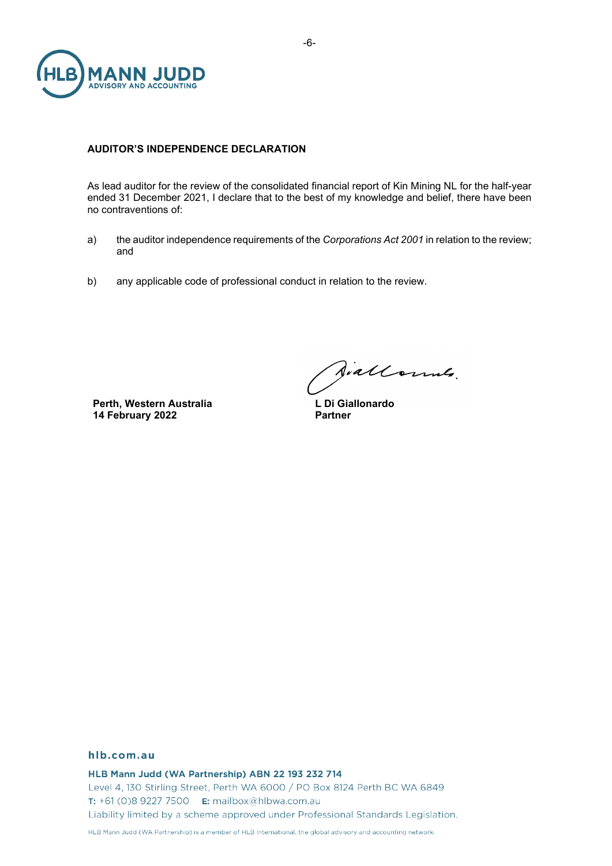

### **AUDITOR'S INDEPENDENCE DECLARATION**

As lead auditor for the review of the consolidated financial report of Kin Mining NL for the half-year ended 31 December 2021, I declare that to the best of my knowledge and belief, there have been no contraventions of:

- a) the auditor independence requirements of the *Corporations Act 2001* in relation to the review; and
- b) any applicable code of professional conduct in relation to the review.

**Perth, Western Australia 14 February 2022**

Jiallonnes.

**L Di Giallonardo Partner**

#### hlb.com.au

HLB Mann Judd (WA Partnership) ABN 22 193 232 714 Level 4, 130 Stirling Street, Perth WA 6000 / PO Box 8124 Perth BC WA 6849 T: +61 (0)8 9227 7500 E: mailbox@hlbwa.com.au Liability limited by a scheme approved under Professional Standards Legislation.

HLB Mann Judd (WA Partnership) is a member of HLB International, the global advisory and accounting network.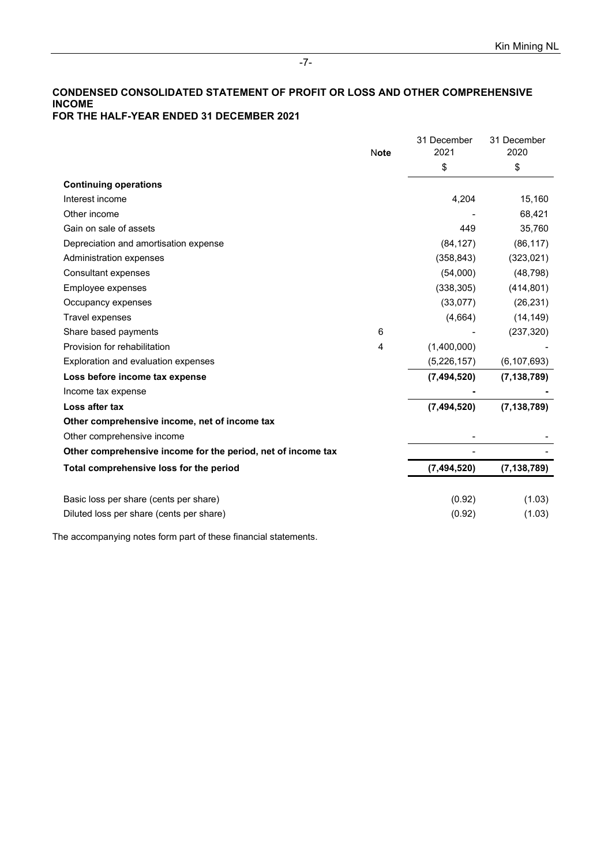### **CONDENSED CONSOLIDATED STATEMENT OF PROFIT OR LOSS AND OTHER COMPREHENSIVE INCOME FOR THE HALF-YEAR ENDED 31 DECEMBER 2021**

|                                                              |             | 31 December   | 31 December   |
|--------------------------------------------------------------|-------------|---------------|---------------|
|                                                              | <b>Note</b> | 2021          | 2020          |
|                                                              |             | \$            | \$            |
| <b>Continuing operations</b>                                 |             |               |               |
| Interest income                                              |             | 4,204         | 15,160        |
| Other income                                                 |             |               | 68,421        |
| Gain on sale of assets                                       |             | 449           | 35,760        |
| Depreciation and amortisation expense                        |             | (84, 127)     | (86, 117)     |
| Administration expenses                                      |             | (358, 843)    | (323, 021)    |
| Consultant expenses                                          |             | (54,000)      | (48, 798)     |
| Employee expenses                                            |             | (338, 305)    | (414, 801)    |
| Occupancy expenses                                           |             | (33,077)      | (26, 231)     |
| Travel expenses                                              |             | (4,664)       | (14, 149)     |
| Share based payments                                         | 6           |               | (237, 320)    |
| Provision for rehabilitation                                 | 4           | (1,400,000)   |               |
| Exploration and evaluation expenses                          |             | (5,226,157)   | (6, 107, 693) |
| Loss before income tax expense                               |             | (7, 494, 520) | (7, 138, 789) |
| Income tax expense                                           |             |               |               |
| Loss after tax                                               |             | (7, 494, 520) | (7, 138, 789) |
| Other comprehensive income, net of income tax                |             |               |               |
| Other comprehensive income                                   |             |               |               |
| Other comprehensive income for the period, net of income tax |             |               |               |
| Total comprehensive loss for the period                      |             | (7, 494, 520) | (7, 138, 789) |
|                                                              |             |               |               |
| Basic loss per share (cents per share)                       |             | (0.92)        | (1.03)        |
| Diluted loss per share (cents per share)                     |             | (0.92)        | (1.03)        |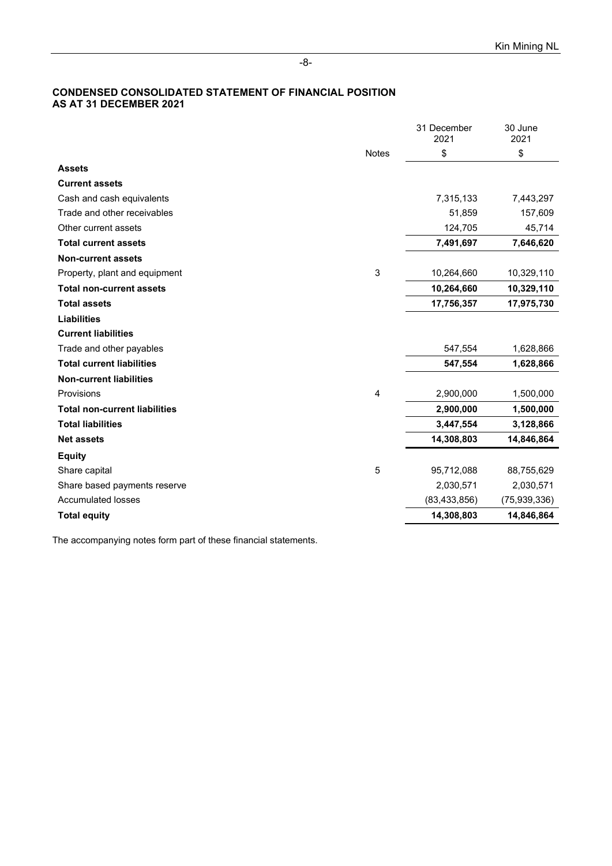### **CONDENSED CONSOLIDATED STATEMENT OF FINANCIAL POSITION AS AT 31 DECEMBER 2021**

|                                      |              | 31 December<br>2021 | 30 June<br>2021 |
|--------------------------------------|--------------|---------------------|-----------------|
|                                      | <b>Notes</b> | \$                  | \$              |
| <b>Assets</b>                        |              |                     |                 |
| <b>Current assets</b>                |              |                     |                 |
| Cash and cash equivalents            |              | 7,315,133           | 7,443,297       |
| Trade and other receivables          |              | 51,859              | 157,609         |
| Other current assets                 |              | 124,705             | 45,714          |
| <b>Total current assets</b>          |              | 7,491,697           | 7,646,620       |
| <b>Non-current assets</b>            |              |                     |                 |
| Property, plant and equipment        | 3            | 10,264,660          | 10,329,110      |
| <b>Total non-current assets</b>      |              | 10,264,660          | 10,329,110      |
| <b>Total assets</b>                  |              | 17,756,357          | 17,975,730      |
| <b>Liabilities</b>                   |              |                     |                 |
| <b>Current liabilities</b>           |              |                     |                 |
| Trade and other payables             |              | 547,554             | 1,628,866       |
| <b>Total current liabilities</b>     |              | 547,554             | 1,628,866       |
| <b>Non-current liabilities</b>       |              |                     |                 |
| Provisions                           | 4            | 2,900,000           | 1,500,000       |
| <b>Total non-current liabilities</b> |              | 2,900,000           | 1,500,000       |
| <b>Total liabilities</b>             |              | 3,447,554           | 3,128,866       |
| <b>Net assets</b>                    |              | 14,308,803          | 14,846,864      |
| <b>Equity</b>                        |              |                     |                 |
| Share capital                        | 5            | 95,712,088          | 88,755,629      |
| Share based payments reserve         |              | 2,030,571           | 2,030,571       |
| <b>Accumulated losses</b>            |              | (83, 433, 856)      | (75, 939, 336)  |
| <b>Total equity</b>                  |              | 14,308,803          | 14,846,864      |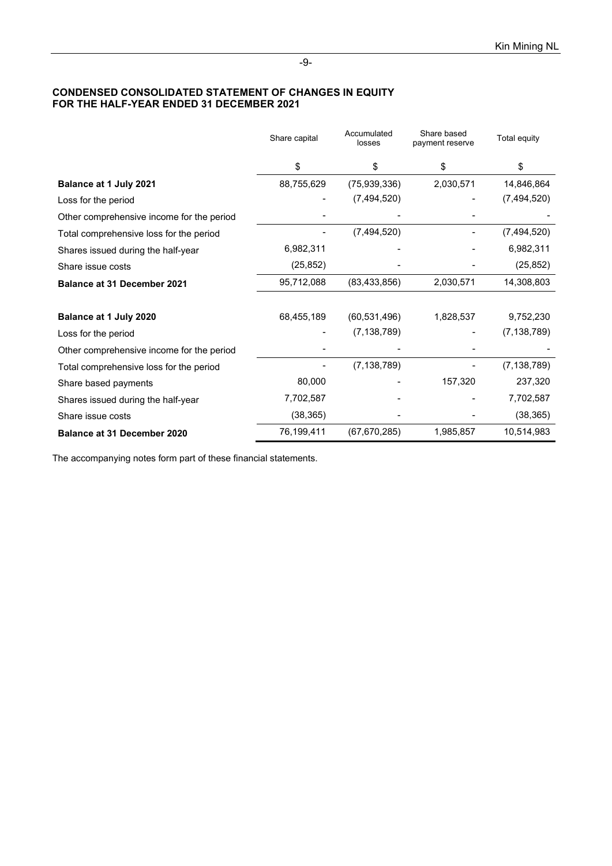### **CONDENSED CONSOLIDATED STATEMENT OF CHANGES IN EQUITY FOR THE HALF-YEAR ENDED 31 DECEMBER 2021**

|                                           | Share capital | Accumulated<br>losses | Share based<br>payment reserve | Total equity  |
|-------------------------------------------|---------------|-----------------------|--------------------------------|---------------|
|                                           | \$            | \$                    | \$                             | \$            |
| Balance at 1 July 2021                    | 88,755,629    | (75,939,336)          | 2,030,571                      | 14,846,864    |
| Loss for the period                       |               | (7, 494, 520)         |                                | (7, 494, 520) |
| Other comprehensive income for the period |               |                       |                                |               |
| Total comprehensive loss for the period   |               | (7,494,520)           |                                | (7, 494, 520) |
| Shares issued during the half-year        | 6,982,311     |                       |                                | 6,982,311     |
| Share issue costs                         | (25, 852)     |                       |                                | (25, 852)     |
| <b>Balance at 31 December 2021</b>        | 95,712,088    | (83, 433, 856)        | 2,030,571                      | 14,308,803    |
| Balance at 1 July 2020                    | 68,455,189    | (60, 531, 496)        | 1,828,537                      | 9,752,230     |
| Loss for the period                       |               | (7, 138, 789)         |                                | (7, 138, 789) |
| Other comprehensive income for the period |               |                       |                                |               |
| Total comprehensive loss for the period   |               | (7, 138, 789)         |                                | (7, 138, 789) |
| Share based payments                      | 80,000        |                       | 157,320                        | 237,320       |
| Shares issued during the half-year        | 7,702,587     |                       |                                | 7,702,587     |
| Share issue costs                         | (38, 365)     |                       |                                | (38, 365)     |
| <b>Balance at 31 December 2020</b>        | 76,199,411    | (67, 670, 285)        | 1,985,857                      | 10,514,983    |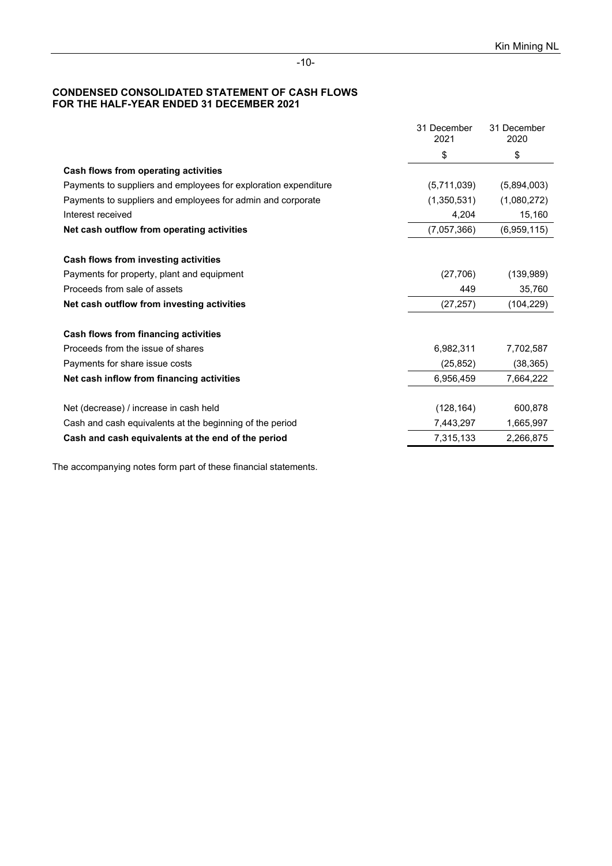### **CONDENSED CONSOLIDATED STATEMENT OF CASH FLOWS FOR THE HALF-YEAR ENDED 31 DECEMBER 2021**

|                                                                 | 31 December<br>2021 | 31 December<br>2020 |
|-----------------------------------------------------------------|---------------------|---------------------|
|                                                                 | \$                  | \$                  |
| Cash flows from operating activities                            |                     |                     |
| Payments to suppliers and employees for exploration expenditure | (5,711,039)         | (5,894,003)         |
| Payments to suppliers and employees for admin and corporate     | (1,350,531)         | (1,080,272)         |
| Interest received                                               | 4,204               | 15,160              |
| Net cash outflow from operating activities                      | (7,057,366)         | (6,959,115)         |
| Cash flows from investing activities                            |                     |                     |
| Payments for property, plant and equipment                      | (27, 706)           | (139, 989)          |
| Proceeds from sale of assets                                    | 449                 | 35,760              |
| Net cash outflow from investing activities                      | (27, 257)           | (104, 229)          |
| Cash flows from financing activities                            |                     |                     |
| Proceeds from the issue of shares                               | 6,982,311           | 7,702,587           |
| Payments for share issue costs                                  | (25, 852)           | (38, 365)           |
| Net cash inflow from financing activities                       | 6,956,459           | 7,664,222           |
|                                                                 |                     |                     |
| Net (decrease) / increase in cash held                          | (128, 164)          | 600,878             |
| Cash and cash equivalents at the beginning of the period        | 7,443,297           | 1,665,997           |
| Cash and cash equivalents at the end of the period              | 7,315,133           | 2,266,875           |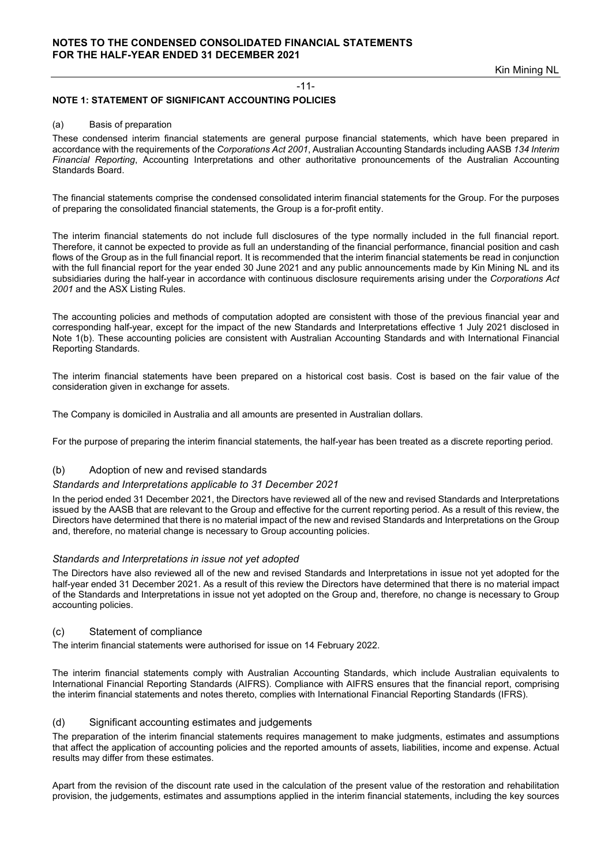#### -11-

### **NOTE 1: STATEMENT OF SIGNIFICANT ACCOUNTING POLICIES**

#### (a) Basis of preparation

These condensed interim financial statements are general purpose financial statements, which have been prepared in accordance with the requirements of the *Corporations Act 2001*, Australian Accounting Standards including AASB *134 Interim Financial Reporting*, Accounting Interpretations and other authoritative pronouncements of the Australian Accounting Standards Board.

The financial statements comprise the condensed consolidated interim financial statements for the Group. For the purposes of preparing the consolidated financial statements, the Group is a for-profit entity.

The interim financial statements do not include full disclosures of the type normally included in the full financial report. Therefore, it cannot be expected to provide as full an understanding of the financial performance, financial position and cash flows of the Group as in the full financial report. It is recommended that the interim financial statements be read in conjunction with the full financial report for the year ended 30 June 2021 and any public announcements made by Kin Mining NL and its subsidiaries during the half-year in accordance with continuous disclosure requirements arising under the *Corporations Act 2001* and the ASX Listing Rules.

The accounting policies and methods of computation adopted are consistent with those of the previous financial year and corresponding half-year, except for the impact of the new Standards and Interpretations effective 1 July 2021 disclosed in Note 1(b). These accounting policies are consistent with Australian Accounting Standards and with International Financial Reporting Standards.

The interim financial statements have been prepared on a historical cost basis. Cost is based on the fair value of the consideration given in exchange for assets.

The Company is domiciled in Australia and all amounts are presented in Australian dollars.

For the purpose of preparing the interim financial statements, the half-year has been treated as a discrete reporting period.

#### (b) Adoption of new and revised standards

#### *Standards and Interpretations applicable to 31 December 2021*

In the period ended 31 December 2021, the Directors have reviewed all of the new and revised Standards and Interpretations issued by the AASB that are relevant to the Group and effective for the current reporting period. As a result of this review, the Directors have determined that there is no material impact of the new and revised Standards and Interpretations on the Group and, therefore, no material change is necessary to Group accounting policies.

#### *Standards and Interpretations in issue not yet adopted*

The Directors have also reviewed all of the new and revised Standards and Interpretations in issue not yet adopted for the half-year ended 31 December 2021. As a result of this review the Directors have determined that there is no material impact of the Standards and Interpretations in issue not yet adopted on the Group and, therefore, no change is necessary to Group accounting policies.

#### (c) Statement of compliance

The interim financial statements were authorised for issue on 14 February 2022.

The interim financial statements comply with Australian Accounting Standards, which include Australian equivalents to International Financial Reporting Standards (AIFRS). Compliance with AIFRS ensures that the financial report, comprising the interim financial statements and notes thereto, complies with International Financial Reporting Standards (IFRS).

#### (d) Significant accounting estimates and judgements

The preparation of the interim financial statements requires management to make judgments, estimates and assumptions that affect the application of accounting policies and the reported amounts of assets, liabilities, income and expense. Actual results may differ from these estimates.

Apart from the revision of the discount rate used in the calculation of the present value of the restoration and rehabilitation provision, the judgements, estimates and assumptions applied in the interim financial statements, including the key sources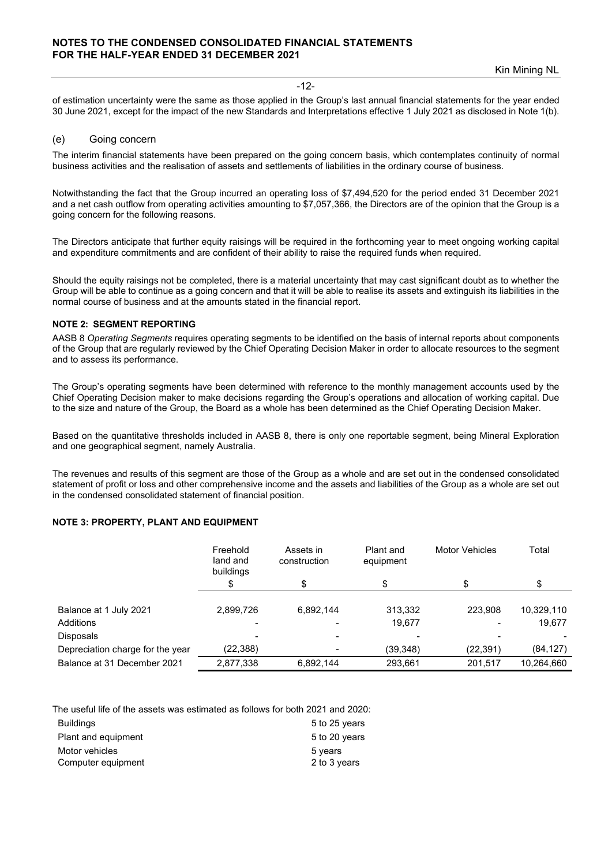### **NOTES TO THE CONDENSED CONSOLIDATED FINANCIAL STATEMENTS FOR THE HALF-YEAR ENDED 31 DECEMBER 2021**

Kin Mining NL

#### -12-

of estimation uncertainty were the same as those applied in the Group's last annual financial statements for the year ended 30 June 2021, except for the impact of the new Standards and Interpretations effective 1 July 2021 as disclosed in Note 1(b).

#### (e) Going concern

The interim financial statements have been prepared on the going concern basis, which contemplates continuity of normal business activities and the realisation of assets and settlements of liabilities in the ordinary course of business.

Notwithstanding the fact that the Group incurred an operating loss of \$7,494,520 for the period ended 31 December 2021 and a net cash outflow from operating activities amounting to \$7,057,366, the Directors are of the opinion that the Group is a going concern for the following reasons.

The Directors anticipate that further equity raisings will be required in the forthcoming year to meet ongoing working capital and expenditure commitments and are confident of their ability to raise the required funds when required.

Should the equity raisings not be completed, there is a material uncertainty that may cast significant doubt as to whether the Group will be able to continue as a going concern and that it will be able to realise its assets and extinguish its liabilities in the normal course of business and at the amounts stated in the financial report.

#### **NOTE 2: SEGMENT REPORTING**

AASB 8 *Operating Segments* requires operating segments to be identified on the basis of internal reports about components of the Group that are regularly reviewed by the Chief Operating Decision Maker in order to allocate resources to the segment and to assess its performance.

The Group's operating segments have been determined with reference to the monthly management accounts used by the Chief Operating Decision maker to make decisions regarding the Group's operations and allocation of working capital. Due to the size and nature of the Group, the Board as a whole has been determined as the Chief Operating Decision Maker.

Based on the quantitative thresholds included in AASB 8, there is only one reportable segment, being Mineral Exploration and one geographical segment, namely Australia.

The revenues and results of this segment are those of the Group as a whole and are set out in the condensed consolidated statement of profit or loss and other comprehensive income and the assets and liabilities of the Group as a whole are set out in the condensed consolidated statement of financial position.

#### **NOTE 3: PROPERTY, PLANT AND EQUIPMENT**

|                                  | Freehold<br>land and<br>buildings | Assets in<br>construction | Plant and<br>equipment | <b>Motor Vehicles</b> | Total      |
|----------------------------------|-----------------------------------|---------------------------|------------------------|-----------------------|------------|
|                                  |                                   | S                         | S                      |                       |            |
| Balance at 1 July 2021           | 2,899,726                         | 6.892.144                 | 313,332                | 223.908               | 10,329,110 |
| Additions                        |                                   |                           | 19.677                 |                       | 19,677     |
| <b>Disposals</b>                 |                                   |                           |                        |                       |            |
| Depreciation charge for the year | (22, 388)                         |                           | (39,348)               | (22,391)              | (84, 127)  |
| Balance at 31 December 2021      | 2,877,338                         | 6,892,144                 | 293,661                | 201,517               | 10,264,660 |

The useful life of the assets was estimated as follows for both 2021 and 2020:

| <b>Buildings</b>    | 5 to 25 years |
|---------------------|---------------|
| Plant and equipment | 5 to 20 years |
| Motor vehicles      | 5 vears       |
| Computer equipment  | 2 to 3 years  |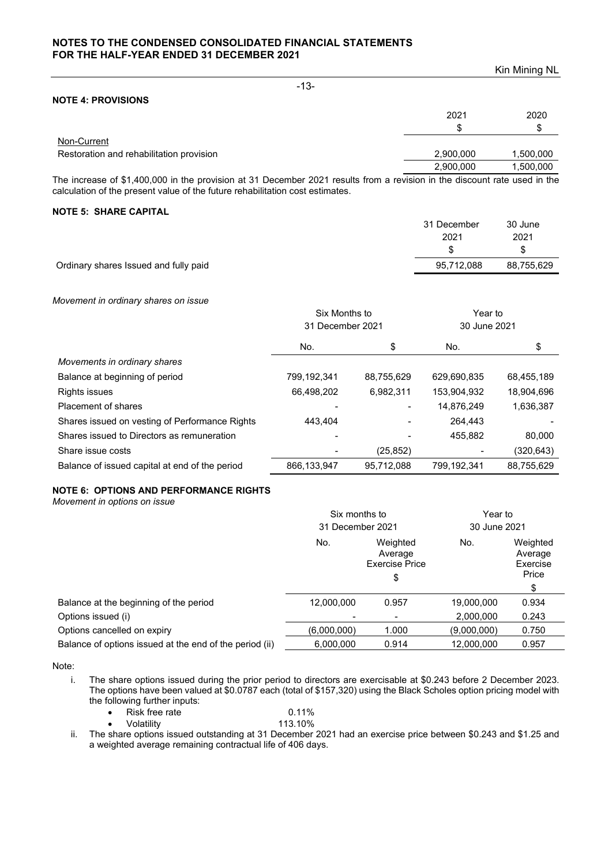### **NOTES TO THE CONDENSED CONSOLIDATED FINANCIAL STATEMENTS FOR THE HALF-YEAR ENDED 31 DECEMBER 2021**

Kin Mining NL -13- **NOTE 4: PROVISIONS** 2021 2020  $\mathfrak s$   $\mathfrak s$ Non-Current Restoration and rehabilitation provision 2,900,000 1,500,000 1,500,000 2,900,000 1,500,000

The increase of \$1,400,000 in the provision at 31 December 2021 results from a revision in the discount rate used in the calculation of the present value of the future rehabilitation cost estimates.

### **NOTE 5: SHARE CAPITAL**

|                                       | 31 December | 30 June    |
|---------------------------------------|-------------|------------|
|                                       | 2021        | 2021       |
|                                       |             |            |
| Ordinary shares Issued and fully paid | 95,712,088  | 88,755,629 |

*Movement in ordinary shares on issue*

|                                                | Six Months to<br>31 December 2021 |            | Year to<br>30 June 2021 |            |
|------------------------------------------------|-----------------------------------|------------|-------------------------|------------|
|                                                |                                   |            |                         |            |
|                                                | No.                               | \$         | No.                     | \$         |
| Movements in ordinary shares                   |                                   |            |                         |            |
| Balance at beginning of period                 | 799,192,341                       | 88,755,629 | 629,690,835             | 68,455,189 |
| <b>Rights issues</b>                           | 66,498,202                        | 6,982,311  | 153,904,932             | 18,904,696 |
| Placement of shares                            |                                   |            | 14,876,249              | 1,636,387  |
| Shares issued on vesting of Performance Rights | 443.404                           |            | 264.443                 |            |
| Shares issued to Directors as remuneration     |                                   |            | 455.882                 | 80,000     |
| Share issue costs                              |                                   | (25, 852)  |                         | (320,643)  |
| Balance of issued capital at end of the period | 866, 133, 947                     | 95.712.088 | 799.192.341             | 88,755,629 |

### **NOTE 6: OPTIONS AND PERFORMANCE RIGHTS**

*Movement in options on issue*

|                                                         | Six months to<br>31 December 2021 |                                                    | Year to<br>30 June 2021 |                                                |
|---------------------------------------------------------|-----------------------------------|----------------------------------------------------|-------------------------|------------------------------------------------|
|                                                         |                                   |                                                    |                         |                                                |
|                                                         | No.                               | Weighted<br>Average<br><b>Exercise Price</b><br>\$ | No.                     | Weighted<br>Average<br>Exercise<br>Price<br>\$ |
| Balance at the beginning of the period                  | 12,000,000                        | 0.957                                              | 19,000,000              | 0.934                                          |
| Options issued (i)                                      |                                   |                                                    | 2,000,000               | 0.243                                          |
| Options cancelled on expiry                             | (6,000,000)                       | 1.000                                              | (9,000,000)             | 0.750                                          |
| Balance of options issued at the end of the period (ii) | 6,000,000                         | 0.914                                              | 12,000,000              | 0.957                                          |

Note:

i. The share options issued during the prior period to directors are exercisable at \$0.243 before 2 December 2023. The options have been valued at \$0.0787 each (total of \$157,320) using the Black Scholes option pricing model with the following further inputs:

| Risk free rate | $0.11\%$ |
|----------------|----------|
| Volatility     | 113.10%  |

ii. The share options issued outstanding at 31 December 2021 had an exercise price between \$0.243 and \$1.25 and a weighted average remaining contractual life of 406 days.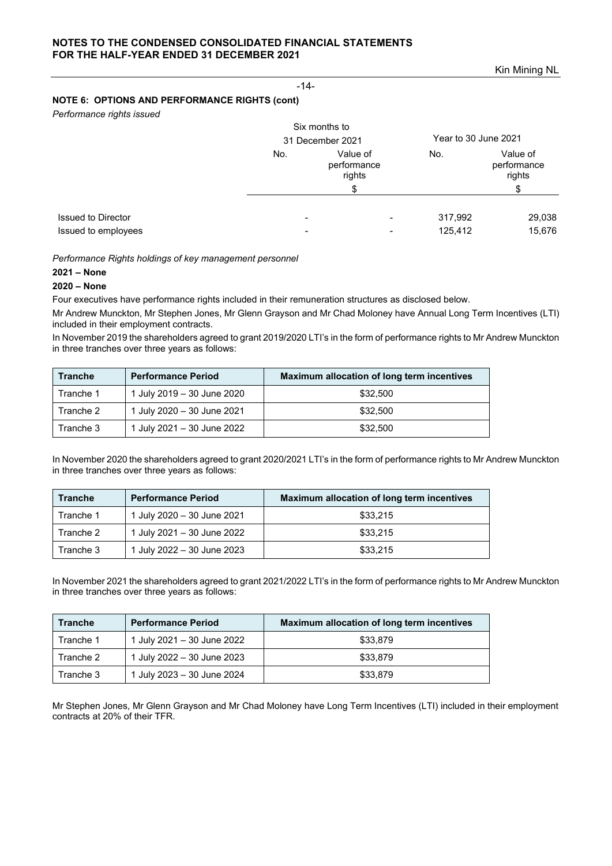### **NOTES TO THE CONDENSED CONSOLIDATED FINANCIAL STATEMENTS FOR THE HALF-YEAR ENDED 31 DECEMBER 2021**

### **NOTE 6: OPTIONS AND PERFORMANCE RIGHTS (cont)**

*Performance rights issued*

|                           |                          | Six months to<br>31 December 2021       |         | Year to 30 June 2021              |  |
|---------------------------|--------------------------|-----------------------------------------|---------|-----------------------------------|--|
|                           | No.                      | Value of<br>performance<br>rights<br>\$ |         | Value of<br>performance<br>rights |  |
|                           |                          |                                         |         |                                   |  |
| <b>Issued to Director</b> | $\,$                     |                                         | 317,992 | 29,038                            |  |
| Issued to employees       | $\overline{\phantom{a}}$ | -                                       | 125,412 | 15,676                            |  |

-14-

*Performance Rights holdings of key management personnel*

### **2021 – None**

### **2020 – None**

Four executives have performance rights included in their remuneration structures as disclosed below.

Mr Andrew Munckton, Mr Stephen Jones, Mr Glenn Grayson and Mr Chad Moloney have Annual Long Term Incentives (LTI) included in their employment contracts.

In November 2019 the shareholders agreed to grant 2019/2020 LTI's in the form of performance rights to Mr Andrew Munckton in three tranches over three years as follows:

| <b>Tranche</b> | <b>Performance Period</b>  | Maximum allocation of long term incentives |  |
|----------------|----------------------------|--------------------------------------------|--|
| Tranche 1      | 1 July 2019 - 30 June 2020 | \$32,500                                   |  |
| Tranche 2      | 1 July 2020 - 30 June 2021 | \$32,500                                   |  |
| Tranche 3      | 1 July 2021 - 30 June 2022 | \$32,500                                   |  |

In November 2020 the shareholders agreed to grant 2020/2021 LTI's in the form of performance rights to Mr Andrew Munckton in three tranches over three years as follows:

| <b>Tranche</b> | <b>Performance Period</b>  | Maximum allocation of long term incentives |  |
|----------------|----------------------------|--------------------------------------------|--|
| Tranche 1      | 1 July 2020 - 30 June 2021 | \$33.215                                   |  |
| Tranche 2      | 1 July 2021 - 30 June 2022 | \$33.215                                   |  |
| Tranche 3      | 1 July 2022 - 30 June 2023 | \$33.215                                   |  |

In November 2021 the shareholders agreed to grant 2021/2022 LTI's in the form of performance rights to Mr Andrew Munckton in three tranches over three years as follows:

| <b>Tranche</b> | <b>Performance Period</b>  | Maximum allocation of long term incentives |  |
|----------------|----------------------------|--------------------------------------------|--|
| Tranche 1      | 1 July 2021 - 30 June 2022 | \$33,879                                   |  |
| Tranche 2      | 1 July 2022 - 30 June 2023 | \$33,879                                   |  |
| Tranche 3      | 1 July 2023 - 30 June 2024 | \$33,879                                   |  |

Mr Stephen Jones, Mr Glenn Grayson and Mr Chad Moloney have Long Term Incentives (LTI) included in their employment contracts at 20% of their TFR.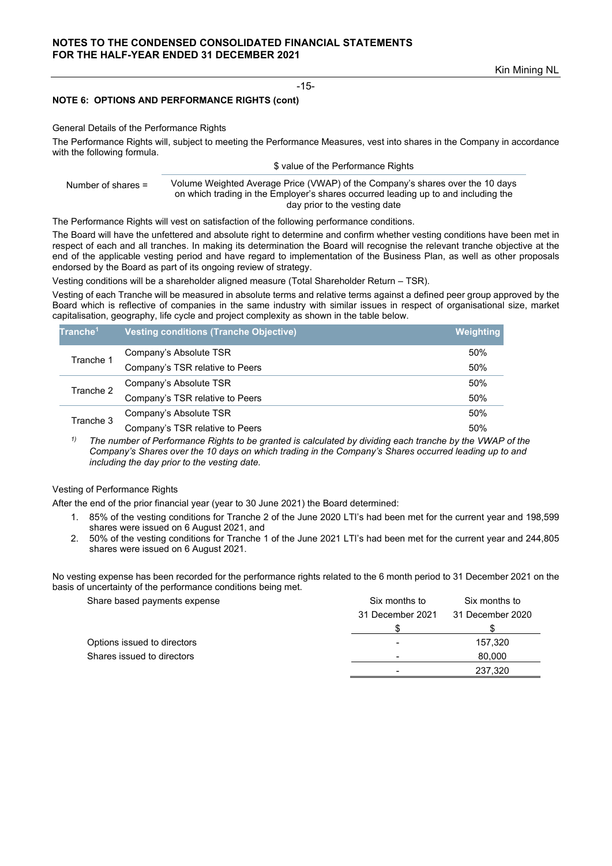Kin Mining NL

-15-

### **NOTE 6: OPTIONS AND PERFORMANCE RIGHTS (cont)**

#### General Details of the Performance Rights

The Performance Rights will, subject to meeting the Performance Measures, vest into shares in the Company in accordance with the following formula.

#### \$ value of the Performance Rights

#### Number of shares = Volume Weighted Average Price (VWAP) of the Company's shares over the 10 days on which trading in the Employer's shares occurred leading up to and including the day prior to the vesting date

The Performance Rights will vest on satisfaction of the following performance conditions.

The Board will have the unfettered and absolute right to determine and confirm whether vesting conditions have been met in respect of each and all tranches. In making its determination the Board will recognise the relevant tranche objective at the end of the applicable vesting period and have regard to implementation of the Business Plan, as well as other proposals endorsed by the Board as part of its ongoing review of strategy.

Vesting conditions will be a shareholder aligned measure (Total Shareholder Return – TSR).

Vesting of each Tranche will be measured in absolute terms and relative terms against a defined peer group approved by the Board which is reflective of companies in the same industry with similar issues in respect of organisational size, market capitalisation, geography, life cycle and project complexity as shown in the table below.

| <b>Vesting conditions (Tranche Objective)</b> | Weighting |
|-----------------------------------------------|-----------|
| Company's Absolute TSR                        | 50%       |
| Company's TSR relative to Peers               | 50%       |
| Company's Absolute TSR                        | 50%       |
| Company's TSR relative to Peers               | 50%       |
| Company's Absolute TSR                        | 50%       |
| Company's TSR relative to Peers               | 50%       |
|                                               |           |

<sup>1)</sup> The number of Performance Rights to be granted is calculated by dividing each tranche by the VWAP of the *Company's Shares over the 10 days on which trading in the Company's Shares occurred leading up to and including the day prior to the vesting date.* 

### Vesting of Performance Rights

After the end of the prior financial year (year to 30 June 2021) the Board determined:

- 1. 85% of the vesting conditions for Tranche 2 of the June 2020 LTI's had been met for the current year and 198,599 shares were issued on 6 August 2021, and
- 2. 50% of the vesting conditions for Tranche 1 of the June 2021 LTI's had been met for the current year and 244,805 shares were issued on 6 August 2021.

No vesting expense has been recorded for the performance rights related to the 6 month period to 31 December 2021 on the basis of uncertainty of the performance conditions being met.

| Share based payments expense | Six months to    | Six months to    |  |
|------------------------------|------------------|------------------|--|
|                              | 31 December 2021 | 31 December 2020 |  |
|                              |                  |                  |  |
| Options issued to directors  |                  | 157.320          |  |
| Shares issued to directors   |                  | 80,000           |  |
|                              |                  | 237.320          |  |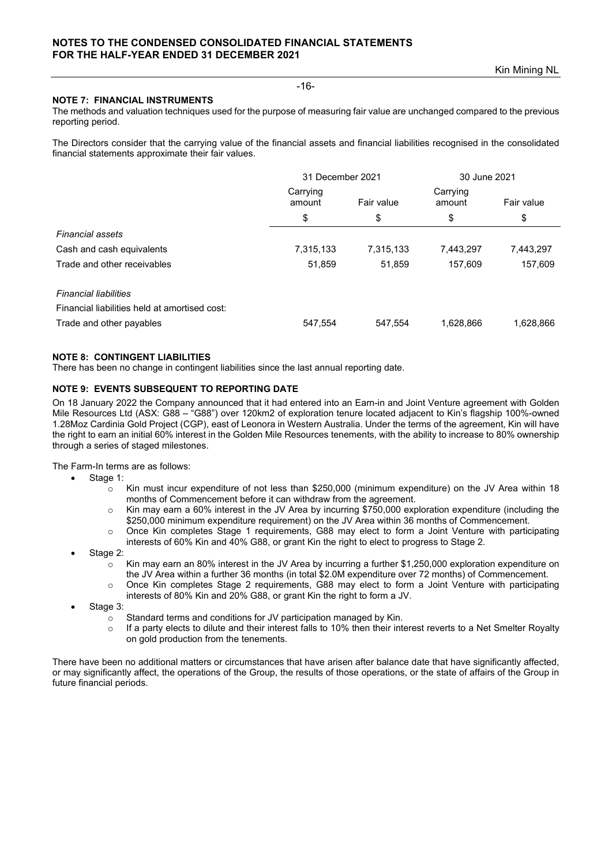### **NOTE 7: FINANCIAL INSTRUMENTS**

The methods and valuation techniques used for the purpose of measuring fair value are unchanged compared to the previous reporting period.

The Directors consider that the carrying value of the financial assets and financial liabilities recognised in the consolidated financial statements approximate their fair values.

|                                               | 31 December 2021                 |           | 30 June 2021       |            |
|-----------------------------------------------|----------------------------------|-----------|--------------------|------------|
|                                               | Carrying<br>Fair value<br>amount |           | Carrying<br>amount | Fair value |
|                                               | \$                               | \$        | \$                 | \$         |
| <b>Financial assets</b>                       |                                  |           |                    |            |
| Cash and cash equivalents                     | 7,315,133                        | 7,315,133 | 7,443,297          | 7,443,297  |
| Trade and other receivables                   | 51,859                           | 51,859    | 157.609            | 157,609    |
| <b>Financial liabilities</b>                  |                                  |           |                    |            |
| Financial liabilities held at amortised cost: |                                  |           |                    |            |
| Trade and other payables                      | 547,554                          | 547,554   | 1,628,866          | 1,628,866  |

### **NOTE 8: CONTINGENT LIABILITIES**

There has been no change in contingent liabilities since the last annual reporting date.

### **NOTE 9: EVENTS SUBSEQUENT TO REPORTING DATE**

On 18 January 2022 the Company announced that it had entered into an Earn-in and Joint Venture agreement with Golden Mile Resources Ltd (ASX: G88 – "G88") over 120km2 of exploration tenure located adjacent to Kin's flagship 100%-owned 1.28Moz Cardinia Gold Project (CGP), east of Leonora in Western Australia. Under the terms of the agreement, Kin will have the right to earn an initial 60% interest in the Golden Mile Resources tenements, with the ability to increase to 80% ownership through a series of staged milestones.

The Farm-In terms are as follows:

- Stage 1:
	- o Kin must incur expenditure of not less than \$250,000 (minimum expenditure) on the JV Area within 18 months of Commencement before it can withdraw from the agreement.
	- $\circ$  Kin may earn a 60% interest in the JV Area by incurring \$750,000 exploration expenditure (including the \$250,000 minimum expenditure requirement) on the JV Area within 36 months of Commencement.
	- o Once Kin completes Stage 1 requirements, G88 may elect to form a Joint Venture with participating interests of 60% Kin and 40% G88, or grant Kin the right to elect to progress to Stage 2.
- Stage 2:
	- $\circ$  Kin may earn an 80% interest in the JV Area by incurring a further \$1,250,000 exploration expenditure on the JV Area within a further 36 months (in total \$2.0M expenditure over 72 months) of Commencement.
	- o Once Kin completes Stage 2 requirements, G88 may elect to form a Joint Venture with participating interests of 80% Kin and 20% G88, or grant Kin the right to form a JV.
- Stage 3:
	- $\circ$  Standard terms and conditions for JV participation managed by Kin.<br> $\circ$  If a party elects to dilute and their interest falls to 10% then their inte
	- If a party elects to dilute and their interest falls to 10% then their interest reverts to a Net Smelter Royalty on gold production from the tenements.

There have been no additional matters or circumstances that have arisen after balance date that have significantly affected, or may significantly affect, the operations of the Group, the results of those operations, or the state of affairs of the Group in future financial periods.

#### -16-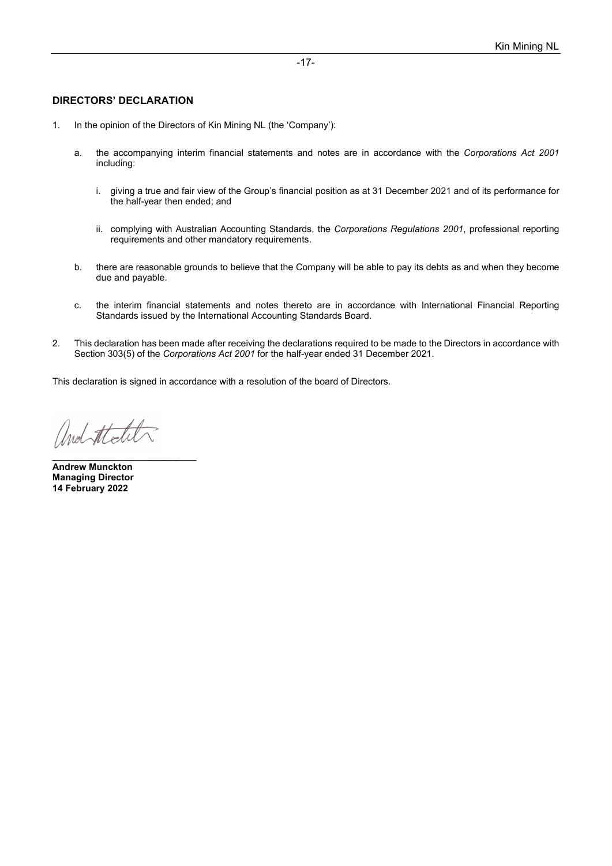### **DIRECTORS' DECLARATION**

- 1. In the opinion of the Directors of Kin Mining NL (the 'Company'):
	- a. the accompanying interim financial statements and notes are in accordance with the *Corporations Act 2001* including:
		- i. giving a true and fair view of the Group's financial position as at 31 December 2021 and of its performance for the half-year then ended; and
		- ii. complying with Australian Accounting Standards, the *Corporations Regulations 2001*, professional reporting requirements and other mandatory requirements.
	- b. there are reasonable grounds to believe that the Company will be able to pay its debts as and when they become due and payable.
	- c. the interim financial statements and notes thereto are in accordance with International Financial Reporting Standards issued by the International Accounting Standards Board.
- 2. This declaration has been made after receiving the declarations required to be made to the Directors in accordance with Section 303(5) of the *Corporations Act 2001* for the half-year ended 31 December 2021.

This declaration is signed in accordance with a resolution of the board of Directors.

and thelite

\_\_\_\_\_\_\_\_\_\_\_\_\_\_\_\_\_\_\_\_\_\_\_\_\_\_\_\_

**Andrew Munckton Managing Director 14 February 2022**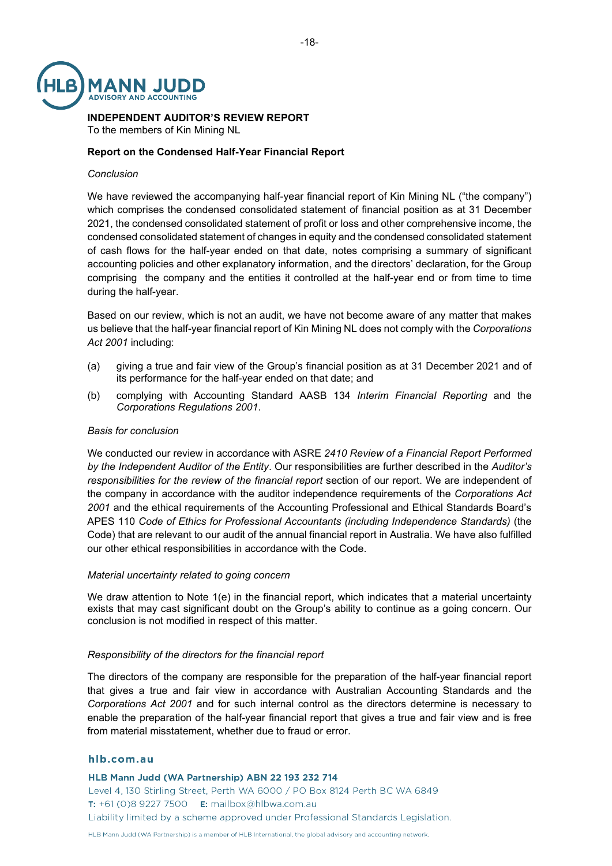

### **INDEPENDENT AUDITOR'S REVIEW REPORT** To the members of Kin Mining NL

### **Report on the Condensed Half-Year Financial Report**

### *Conclusion*

We have reviewed the accompanying half-year financial report of Kin Mining NL ("the company") which comprises the condensed consolidated statement of financial position as at 31 December 2021, the condensed consolidated statement of profit or loss and other comprehensive income, the condensed consolidated statement of changes in equity and the condensed consolidated statement of cash flows for the half-year ended on that date, notes comprising a summary of significant accounting policies and other explanatory information, and the directors' declaration, for the Group comprising the company and the entities it controlled at the half-year end or from time to time during the half-year.

Based on our review, which is not an audit, we have not become aware of any matter that makes us believe that the half-year financial report of Kin Mining NL does not comply with the *Corporations Act 2001* including:

- (a) giving a true and fair view of the Group's financial position as at 31 December 2021 and of its performance for the half-year ended on that date; and
- (b) complying with Accounting Standard AASB 134 *Interim Financial Reporting* and the *Corporations Regulations 2001*.

#### *Basis for conclusion*

We conducted our review in accordance with ASRE *2410 Review of a Financial Report Performed by the Independent Auditor of the Entity*. Our responsibilities are further described in the *Auditor's responsibilities for the review of the financial report* section of our report. We are independent of the company in accordance with the auditor independence requirements of the *Corporations Act 2001* and the ethical requirements of the Accounting Professional and Ethical Standards Board's APES 110 *Code of Ethics for Professional Accountants (including Independence Standards)* (the Code) that are relevant to our audit of the annual financial report in Australia. We have also fulfilled our other ethical responsibilities in accordance with the Code.

#### *Material uncertainty related to going concern*

We draw attention to Note 1(e) in the financial report, which indicates that a material uncertainty exists that may cast significant doubt on the Group's ability to continue as a going concern. Our conclusion is not modified in respect of this matter.

#### *Responsibility of the directors for the financial report*

The directors of the company are responsible for the preparation of the half-year financial report that gives a true and fair view in accordance with Australian Accounting Standards and the *Corporations Act 2001* and for such internal control as the directors determine is necessary to enable the preparation of the half-year financial report that gives a true and fair view and is free from material misstatement, whether due to fraud or error.

### hlb.com.au

HLB Mann Judd (WA Partnership) ABN 22 193 232 714 Level 4, 130 Stirling Street, Perth WA 6000 / PO Box 8124 Perth BC WA 6849 T: +61 (0)8 9227 7500 E: mailbox@hlbwa.com.au Liability limited by a scheme approved under Professional Standards Legislation.

HLB Mann Judd (WA Partnership) is a member of HLB International, the global advisory and accounting network